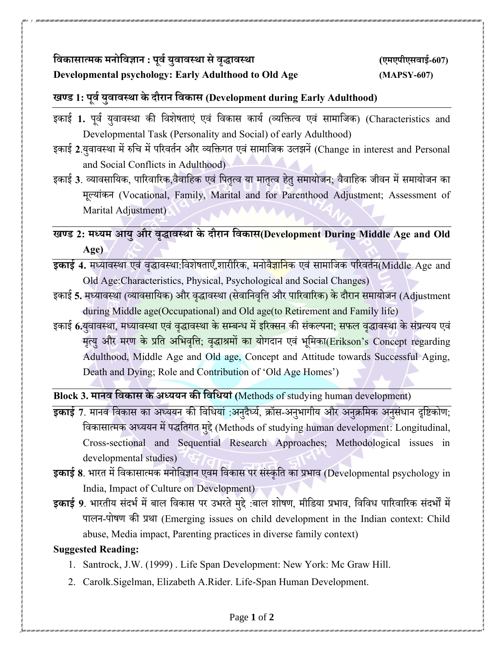## **विकासात्मक मनोविज्ञान : पूिवयुिािस्था सेिृद्धािस्था (एमएपीएसिाई-607) Developmental psychology: Early Adulthood to Old Age (MAPSY-607)**

## **खण् ड 1: पूिवयुिािस्था के दौरान विकास (Development during Early Adulthood)**

- इकाई 1. पर्व यवावस्था की विशेषताएं एवं विकास कार्य (व्यक्तित्व एवं सामाजिक) (Characteristics and Developmental Task (Personality and Social) of early Adulthood)
- इकाई 2.युवावस्था में रुचि में परिवर्तन और व्यक्तिगत एवं सामाजिक उलझनें (Change in interest and Personal and Social Conflicts in Adulthood)
- इकाई 3. व्यावसायिक, पारिवारिक,वैवाहिक एवं पितृत्व या मातृत्व हेतु समायोजन; वैवाहिक जीवन में समायोजन का मलूयांकन (Vocational, Family, Marital and for Parenthood Adjustment; Assessment of Marital Adjustment)

**खण् ड 2: मध् यम आयुऔर िृद्धािस्था के दौरान विकास(Development During Middle Age and Old Age)**

इकाई 4. मध्यावस्था एवं वृद्धावस्था:विशेषताएँ,शारीरिक, मनोवै<mark>ज्ञानि</mark>क एवं सामाजिक परिवर्तन(Middle Age and Old Age:Characteristics, Physical, Psychological and Social Changes)

- इकाई 5. मध्यावस्था (व्यावसायिक) और वृद्धावस्था (सेवानिवृत्ति और पारिवारिक) के दौरान समायोजन (Adjustment during Middle age(Occupational) and Old age(to Retirement and Family life)
- इकाई 6.यवावस्था, मध्या<mark>वस्था एवं वद्धावस्था के सम्बन्ध में इरिक्सन की संकल्पना; सफल वद्धावस्था के संप्रत्यय एवं</mark> मृत्यु और मरण के प्रति अभिवृत्ति; वृद्धाश्रमों का योगदान एवं भूमिका(Erikson's Concept regarding Adulthood, Middle Age and Old age, Concept and Attitude towards Successful Aging, Death and Dying; Role and Contribution of 'Old Age Homes')

**Block 3. मानि विकास के अध्ययन की विवियाां(**Methods of studying human development)

- इकाई 7. मानव विकास का अध्ययन की विधियां :अनुदैर्ध्य, क्रॉस-अनुभागीय और अनुक्रमिक अनुसंधान दृष्टिकोण; वर्कासात्मक अध्ययन मेंपद्धवतगत मद्दुे(Methods of studying human development: Longitudinal, Cross-sectional and Sequential Research Approaches; Methodological issues in developmental studies)
- **इकाई 8**. िाित मेंवर्कासात्मक मनोवर्ज्ञान एर्म वर्कास पि संस्कृवत का प्रिार् (Developmental psychology in India, Impact of Culture on Development)
- इकाई 9. भारतीय संदर्भ में बाल विकास पर उभरते मुद्दे :बाल शोषण, मीडिया प्रभाव, विविध पारिवारिक संदर्भों में पालन-पोषण की प्रथा (Emerging issues on child development in the Indian context: Child abuse, Media impact, Parenting practices in diverse family context)

## **Suggested Reading:**

- 1. Santrock, J.W. (1999) . Life Span Development: New York: Mc Graw Hill.
- 2. Carolk.Sigelman, Elizabeth A.Rider. Life-Span Human Development.